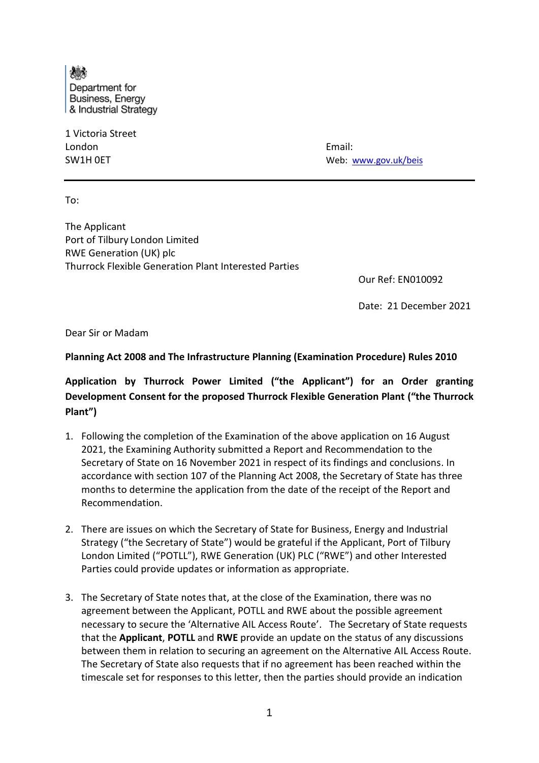Department for Business, Energy & Industrial Strategy

1 Victoria Street London Email:

SW1H 0ET Web: www.gov.uk/beis

To:

The Applicant Port of Tilbury London Limited RWE Generation (UK) plc Thurrock Flexible Generation Plant Interested Parties

Our Ref: EN010092

Date: 21 December 2021

Dear Sir or Madam

## **Planning Act 2008 and The Infrastructure Planning (Examination Procedure) Rules 2010**

**Application by Thurrock Power Limited ("the Applicant") for an Order granting Development Consent for the proposed Thurrock Flexible Generation Plant ("the Thurrock Plant")**

- 1. Following the completion of the Examination of the above application on 16 August 2021, the Examining Authority submitted a Report and Recommendation to the Secretary of State on 16 November 2021 in respect of its findings and conclusions. In accordance with section 107 of the Planning Act 2008, the Secretary of State has three months to determine the application from the date of the receipt of the Report and Recommendation.
- 2. There are issues on which the Secretary of State for Business, Energy and Industrial Strategy ("the Secretary of State") would be grateful if the Applicant, Port of Tilbury London Limited ("POTLL"), RWE Generation (UK) PLC ("RWE") and other Interested Parties could provide updates or information as appropriate.
- 3. The Secretary of State notes that, at the close of the Examination, there was no agreement between the Applicant, POTLL and RWE about the possible agreement necessary to secure the 'Alternative AIL Access Route'. The Secretary of State requests that the **Applicant**, **POTLL** and **RWE** provide an update on the status of any discussions between them in relation to securing an agreement on the Alternative AIL Access Route. The Secretary of State also requests that if no agreement has been reached within the timescale set for responses to this letter, then the parties should provide an indication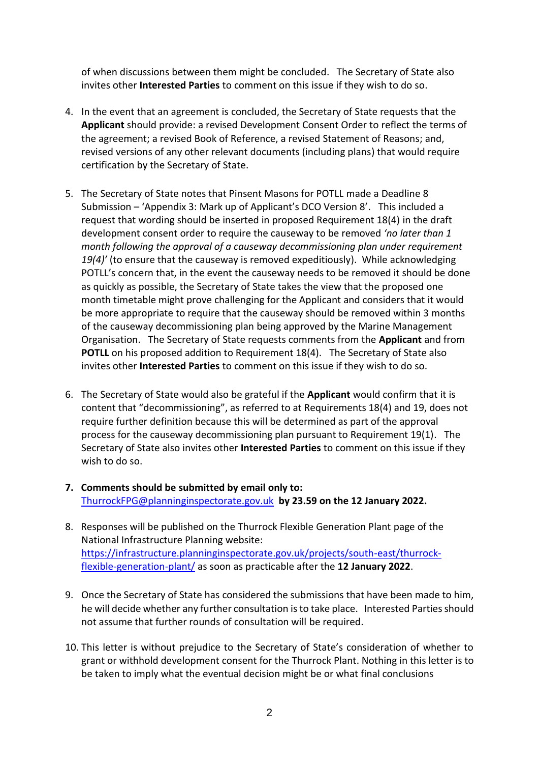of when discussions between them might be concluded. The Secretary of State also invites other **Interested Parties** to comment on this issue if they wish to do so.

- 4. In the event that an agreement is concluded, the Secretary of State requests that the **Applicant** should provide: a revised Development Consent Order to reflect the terms of the agreement; a revised Book of Reference, a revised Statement of Reasons; and, revised versions of any other relevant documents (including plans) that would require certification by the Secretary of State.
- 5. The Secretary of State notes that Pinsent Masons for POTLL made a Deadline 8 Submission – 'Appendix 3: Mark up of Applicant's DCO Version 8'. This included a request that wording should be inserted in proposed Requirement 18(4) in the draft development consent order to require the causeway to be removed *'no later than 1 month following the approval of a causeway decommissioning plan under requirement 19(4)'* (to ensure that the causeway is removed expeditiously). While acknowledging POTLL's concern that, in the event the causeway needs to be removed it should be done as quickly as possible, the Secretary of State takes the view that the proposed one month timetable might prove challenging for the Applicant and considers that it would be more appropriate to require that the causeway should be removed within 3 months of the causeway decommissioning plan being approved by the Marine Management Organisation. The Secretary of State requests comments from the **Applicant** and from **POTLL** on his proposed addition to Requirement 18(4). The Secretary of State also invites other **Interested Parties** to comment on this issue if they wish to do so.
- 6. The Secretary of State would also be grateful if the **Applicant** would confirm that it is content that "decommissioning", as referred to at Requirements 18(4) and 19, does not require further definition because this will be determined as part of the approval process for the causeway decommissioning plan pursuant to Requirement 19(1). The Secretary of State also invites other **Interested Parties** to comment on this issue if they wish to do so.
- **7. Comments should be submitted by email only to:**  ThurrockFPG@planninginspectorate.gov.uk **by 23.59 on the 12 January 2022.**
- 8. Responses will be published on the Thurrock Flexible Generation Plant page of the National Infrastructure Planning website: https://infrastructure.planninginspectorate.gov.uk/projects/south-east/thurrockflexible-generation-plant/ as soon as practicable after the **12 January 2022**.
- 9. Once the Secretary of State has considered the submissions that have been made to him, he will decide whether any further consultation is to take place. Interested Parties should not assume that further rounds of consultation will be required.
- 10. This letter is without prejudice to the Secretary of State's consideration of whether to grant or withhold development consent for the Thurrock Plant. Nothing in this letter is to be taken to imply what the eventual decision might be or what final conclusions